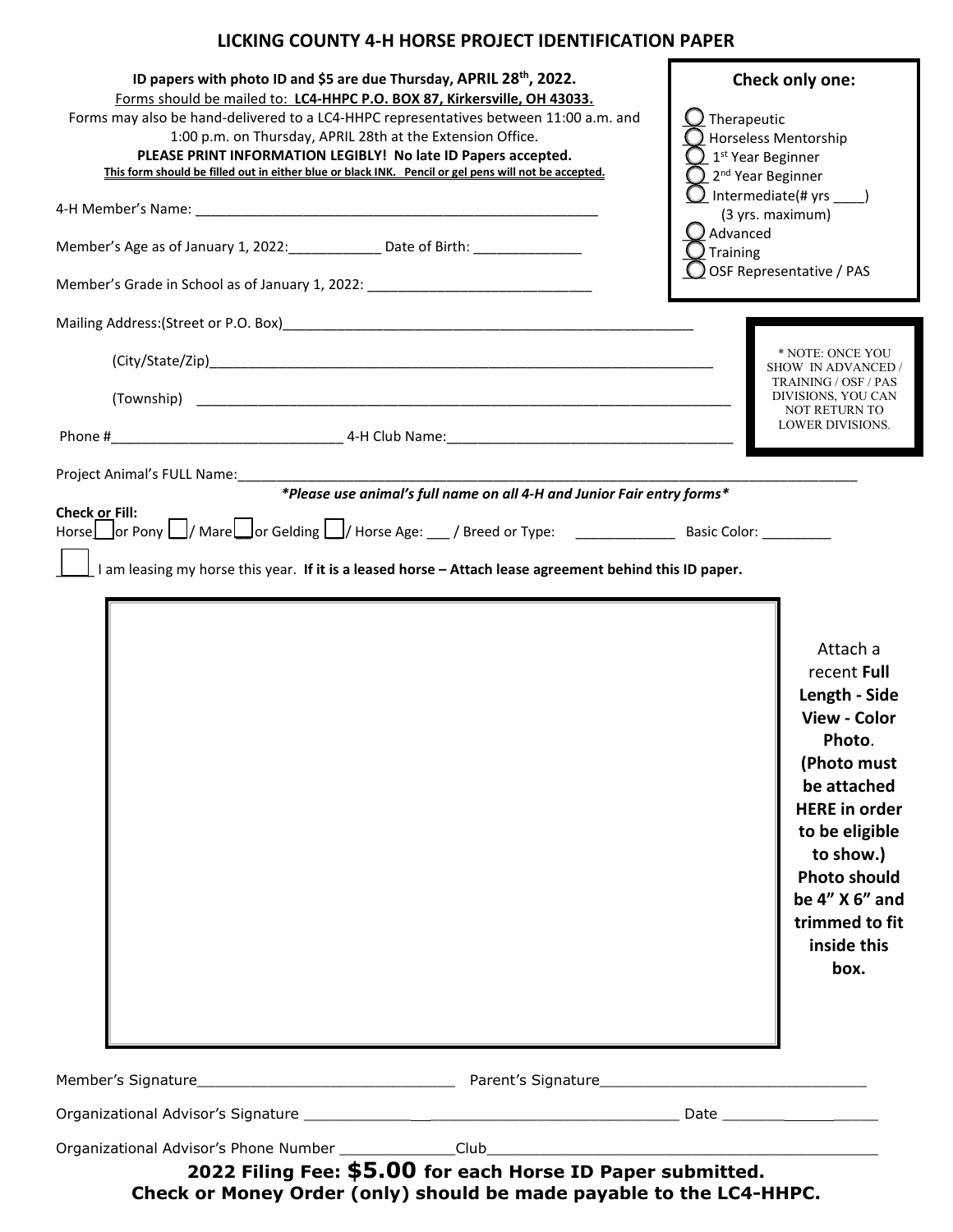# **LICKING COUNTY 4-H HORSE PROJECT IDENTIFICATION PAPER**

| ID papers with photo ID and \$5 are due Thursday, APRIL 28 <sup>th</sup> , 2022.<br>Forms should be mailed to: LC4-HHPC P.O. BOX 87, Kirkersville, OH 43033.<br>Forms may also be hand-delivered to a LC4-HHPC representatives between 11:00 a.m. and<br>1:00 p.m. on Thursday, APRIL 28th at the Extension Office.<br>PLEASE PRINT INFORMATION LEGIBLY! No late ID Papers accepted.<br>This form should be filled out in either blue or black INK. Pencil or gel pens will not be accepted.<br>Member's Age as of January 1, 2022: ____________ Date of Birth: ________________<br>Member's Grade in School as of January 1, 2022: ________________________________ | Check only one:<br>Therapeutic<br>Horseless Mentorship<br>1 <sup>st</sup> Year Beginner<br>2 <sup>nd</sup> Year Beginner<br>$\bigcup$ Intermediate(# yrs _____)<br>(3 yrs. maximum)<br>Advanced<br>Training<br>OSF Representative / PAS |
|----------------------------------------------------------------------------------------------------------------------------------------------------------------------------------------------------------------------------------------------------------------------------------------------------------------------------------------------------------------------------------------------------------------------------------------------------------------------------------------------------------------------------------------------------------------------------------------------------------------------------------------------------------------------|-----------------------------------------------------------------------------------------------------------------------------------------------------------------------------------------------------------------------------------------|
|                                                                                                                                                                                                                                                                                                                                                                                                                                                                                                                                                                                                                                                                      |                                                                                                                                                                                                                                         |
|                                                                                                                                                                                                                                                                                                                                                                                                                                                                                                                                                                                                                                                                      | * NOTE: ONCE YOU                                                                                                                                                                                                                        |
|                                                                                                                                                                                                                                                                                                                                                                                                                                                                                                                                                                                                                                                                      | SHOW IN ADVANCED /<br>TRAINING / OSF / PAS                                                                                                                                                                                              |
|                                                                                                                                                                                                                                                                                                                                                                                                                                                                                                                                                                                                                                                                      | DIVISIONS, YOU CAN<br><b>NOT RETURN TO</b><br><b>LOWER DIVISIONS.</b>                                                                                                                                                                   |
|                                                                                                                                                                                                                                                                                                                                                                                                                                                                                                                                                                                                                                                                      |                                                                                                                                                                                                                                         |
| *Please use animal's full name on all 4-H and Junior Fair entry forms*                                                                                                                                                                                                                                                                                                                                                                                                                                                                                                                                                                                               |                                                                                                                                                                                                                                         |
| <b>Check or Fill:</b><br>Horse or Pony   / Mare or Gelding   / Horse Age: 1997 Preed or Type: 2008 Pasic Color: 2008 Pony   /<br>I am leasing my horse this year. If it is a leased horse - Attach lease agreement behind this ID paper.                                                                                                                                                                                                                                                                                                                                                                                                                             | Attach a<br>recent Full<br>Length - Side<br><b>View - Color</b><br>Photo.<br>(Photo must<br>be attached<br><b>HERE</b> in order<br>to be eligible<br>to show.)                                                                          |
|                                                                                                                                                                                                                                                                                                                                                                                                                                                                                                                                                                                                                                                                      | <b>Photo should</b><br>be 4" X 6" and<br>trimmed to fit<br>inside this<br>box.                                                                                                                                                          |
|                                                                                                                                                                                                                                                                                                                                                                                                                                                                                                                                                                                                                                                                      |                                                                                                                                                                                                                                         |
|                                                                                                                                                                                                                                                                                                                                                                                                                                                                                                                                                                                                                                                                      |                                                                                                                                                                                                                                         |
| 2022 Filing Fee: \$5.00 for each Horse ID Paper submitted.<br>Check or Money Order (only) should be made payable to the LC4-HHPC.                                                                                                                                                                                                                                                                                                                                                                                                                                                                                                                                    |                                                                                                                                                                                                                                         |